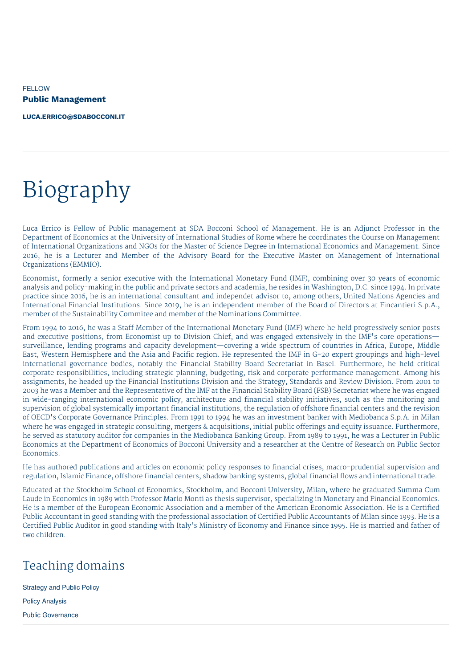FELLOW **Public Management**

**[LUCA.ERRICO@SDABOCCONI.IT](mailto:luca.errico@sdabocconi.it)**

# Biography

Luca Errico is Fellow of Public management at SDA Bocconi School of Management. He is an Adjunct Professor in the Department of Economics at the University of International Studies of Rome where he coordinates the Course on Management of International Organizations and NGOs for the Master of Science Degree in International Economics and Management. Since 2016, he is a Lecturer and Member of the Advisory Board for the Executive Master on Management of International Organizations (EMMIO).

Economist, formerly a senior executive with the International Monetary Fund (IMF), combining over 30 years of economic analysis and policy-making in the public and private sectors and academia, he resides in Washington, D.C. since 1994. In private practice since 2016, he is an international consultant and independet advisor to, among others, United Nations Agencies and International Financial Institutions. Since 2019, he is an independent member of the Board of Directors at Fincantieri S.p.A., member of the Sustainability Commitee and member of the Nominations Committee.

From 1994 to 2016, he was a Staff Member of the International Monetary Fund (IMF) where he held progressively senior posts and executive positions, from Economist up to Division Chief, and was engaged extensively in the IMF's core operations surveillance, lending programs and capacity development—covering a wide spectrum of countries in Africa, Europe, Middle East, Western Hemisphere and the Asia and Pacific region. He represented the IMF in G-20 expert groupings and high-level international governance bodies, notably the Financial Stability Board Secretariat in Basel. Furthermore, he held critical corporate responsibilities, including strategic planning, budgeting, risk and corporate performance management. Among his assignments, he headed up the Financial Institutions Division and the Strategy, Standards and Review Division. From 2001 to 2003 he was a Member and the Representative of the IMF at the Financial Stability Board (FSB) Secretariat where he was engaed in wide-ranging international economic policy, architecture and financial stability initiatives, such as the monitoring and supervision of global systemically important financial institutions, the regulation of offshore financial centers and the revision of OECD's Corporate Governance Principles. From 1991 to 1994 he was an investment banker with Mediobanca S.p.A. in Milan where he was engaged in strategic consulting, mergers & acquisitions, initial public offerings and equity issuance. Furthermore, he served as statutory auditor for companies in the Mediobanca Banking Group. From 1989 to 1991, he was a Lecturer in Public Economics at the Department of Economics of Bocconi University and a researcher at the Centre of Research on Public Sector Economics.

He has authored publications and articles on economic policy responses to financial crises, macro-prudential supervision and regulation, Islamic Finance, offshore financial centers, shadow banking systems, global financial flows and international trade.

Educated at the Stockholm School of Economics, Stockholm, and Bocconi University, Milan, where he graduated Summa Cum Laude in Economics in 1989 with Professor Mario Monti as thesis supervisor, specializing in Monetary and Financial Economics. He is a member of the European Economic Association and a member of the American Economic Association. He is a Certified Public Accountant in good standing with the professional association of Certified Public Accountants of Milan since 1993. He is a Certified Public Auditor in good standing with Italy's Ministry of Economy and Finance since 1995. He is married and father of two children.

# Teaching domains

Strategy and Public Policy Policy Analysis Public Governance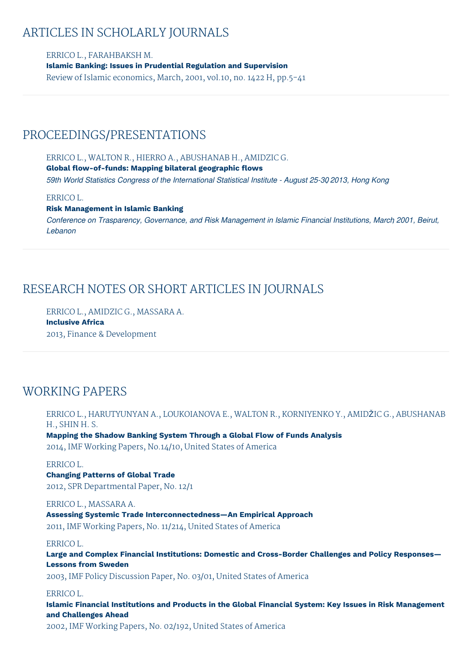# ARTICLES IN SCHOLARLY JOURNALS

ERRICO L., FARAHBAKSH M. **Islamic Banking: Issues in Prudential Regulation and Supervision** Review of Islamic economics, March, 2001, vol.10, no. 1422 H, pp.5-41

## PROCEEDINGS/PRESENTATIONS

ERRICO L., WALTON R., HIERRO A., ABUSHANAB H., AMIDZIC G. **Global flow-of-funds: Mapping bilateral geographic flows** *59th World Statistics Congress of the International Statistical Institute - August 25-30, 2013, Hong Kong*

## ERRICO L.

#### **Risk Management in Islamic Banking**

*Conference on Trasparency, Governance, and Risk Management in Islamic Financial Institutions, March, 2001, Beirut, Lebanon*

# RESEARCH NOTES OR SHORT ARTICLES IN JOURNALS

ERRICO L., AMIDZIC G., MASSARA A. **Inclusive Africa** 2013, Finance & Development

# WORKING PAPERS

ERRICO L., HARUTYUNYAN A., LOUKOIANOVA E., WALTON R., KORNIYENKO Y., AMIDŽIC G., ABUSHANAB H., SHIN H. S.

**Mapping the Shadow Banking System Through a Global Flow of Funds Analysis** 2014, IMF Working Papers, No.14/10, United States of America

## ERRICO L.

## **Changing Patterns of Global Trade**

2012, SPR Departmental Paper, No. 12/1

#### ERRICO L., MASSARA A.

**Assessing Systemic Trade Interconnectedness—An Empirical Approach**

2011, IMF Working Papers, No. 11/214, United States of America

#### ERRICO L.

**Large and Complex Financial Institutions: Domestic and Cross-Border Challenges and Policy Responses— Lessons from Sweden**

2003, IMF Policy Discussion Paper, No. 03/01, United States of America

## ERRICO L.

**Islamic Financial Institutions and Products in the Global Financial System: Key Issues in Risk Management and Challenges Ahead**

2002, IMF Working Papers, No. 02/192, United States of America